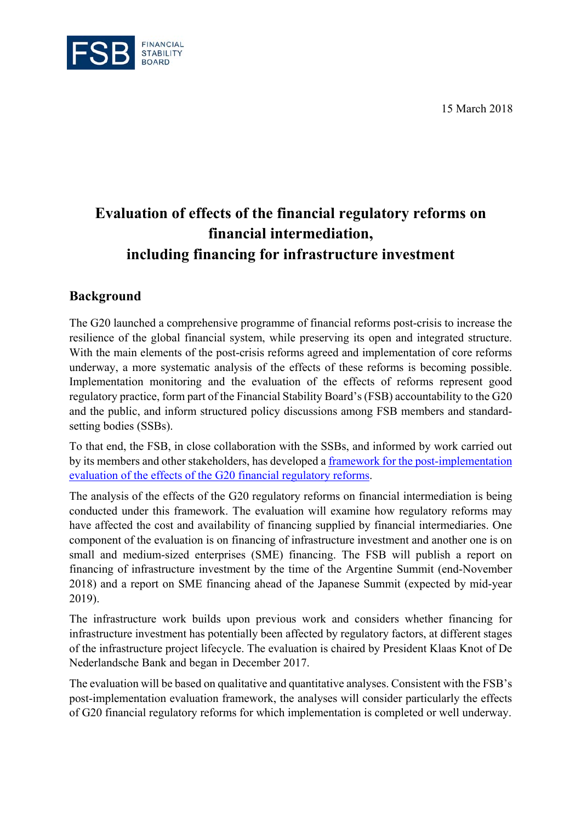15 March 2018



## **Evaluation of effects of the financial regulatory reforms on financial intermediation, including financing for infrastructure investment**

## **Background**

The G20 launched a comprehensive programme of financial reforms post-crisis to increase the resilience of the global financial system, while preserving its open and integrated structure. With the main elements of the post-crisis reforms agreed and implementation of core reforms underway, a more systematic analysis of the effects of these reforms is becoming possible. Implementation monitoring and the evaluation of the effects of reforms represent good regulatory practice, form part of the Financial Stability Board's (FSB) accountability to the G20 and the public, and inform structured policy discussions among FSB members and standardsetting bodies (SSBs).

To that end, the FSB, in close collaboration with the SSBs, and informed by work carried out by its members and other stakeholders, has developed a framework for the post-implementation evaluation of the effects of the G20 financial regulatory reforms.

The analysis of the effects of the G20 regulatory reforms on financial intermediation is being conducted under this framework. The evaluation will examine how regulatory reforms may have affected the cost and availability of financing supplied by financial intermediaries. One component of the evaluation is on financing of infrastructure investment and another one is on small and medium-sized enterprises (SME) financing. The FSB will publish a report on financing of infrastructure investment by the time of the Argentine Summit (end-November 2018) and a report on SME financing ahead of the Japanese Summit (expected by mid-year 2019).

The infrastructure work builds upon previous work and considers whether financing for infrastructure investment has potentially been affected by regulatory factors, at different stages of the infrastructure project lifecycle. The evaluation is chaired by President Klaas Knot of De Nederlandsche Bank and began in December 2017.

The evaluation will be based on qualitative and quantitative analyses. Consistent with the FSB's post-implementation evaluation framework, the analyses will consider particularly the effects of G20 financial regulatory reforms for which implementation is completed or well underway.